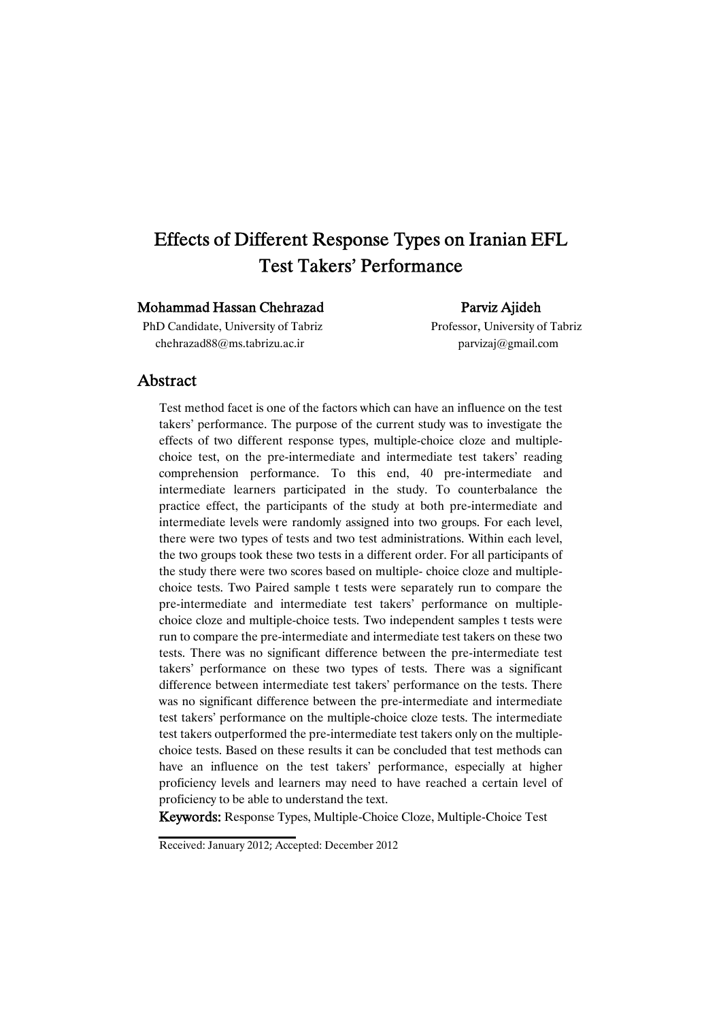# Effects of Different Response Types on Iranian EFL Test Takers' Performance

### Mohammad Hassan Chehrazad Parviz Ajideh

PhD Candidate, University of Tabriz Professor, University of Tabriz chehrazad88@ms.tabrizu.ac.ir parvizaj@gmail.com

### Abstract

Test method facet is one of the factors which can have an influence on the test takers' performance. The purpose of the current study was to investigate the effects of two different response types, multiple-choice cloze and multiplechoice test, on the pre-intermediate and intermediate test takers' reading comprehension performance. To this end, 40 pre-intermediate and intermediate learners participated in the study. To counterbalance the practice effect, the participants of the study at both pre-intermediate and intermediate levels were randomly assigned into two groups. For each level, there were two types of tests and two test administrations. Within each level, the two groups took these two tests in a different order. For all participants of the study there were two scores based on multiple- choice cloze and multiplechoice tests. Two Paired sample t tests were separately run to compare the pre-intermediate and intermediate test takers' performance on multiplechoice cloze and multiple-choice tests. Two independent samples t tests were run to compare the pre-intermediate and intermediate test takers on these two tests. There was no significant difference between the pre-intermediate test takers' performance on these two types of tests. There was a significant difference between intermediate test takers' performance on the tests. There was no significant difference between the pre-intermediate and intermediate test takers' performance on the multiple-choice cloze tests. The intermediate test takers outperformed the pre-intermediate test takers only on the multiplechoice tests. Based on these results it can be concluded that test methods can have an influence on the test takers' performance, especially at higher proficiency levels and learners may need to have reached a certain level of proficiency to be able to understand the text.

Keywords: Response Types, Multiple-Choice Cloze, Multiple-Choice Test

Received: January 2012; Accepted: December 2012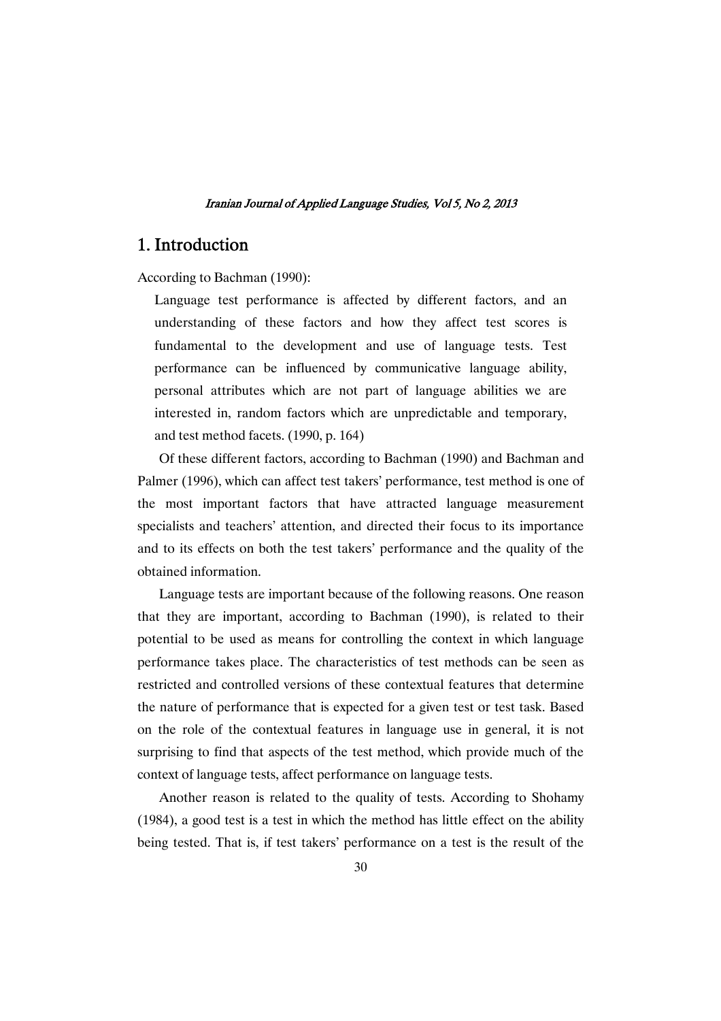## 1. Introduction

According to Bachman (1990):

Language test performance is affected by different factors, and an understanding of these factors and how they affect test scores is fundamental to the development and use of language tests. Test performance can be influenced by communicative language ability, personal attributes which are not part of language abilities we are interested in, random factors which are unpredictable and temporary, and test method facets. (1990, p. 164)

Of these different factors, according to Bachman (1990) and Bachman and Palmer (1996), which can affect test takers' performance, test method is one of the most important factors that have attracted language measurement specialists and teachers' attention, and directed their focus to its importance and to its effects on both the test takers' performance and the quality of the obtained information.

Language tests are important because of the following reasons. One reason that they are important, according to Bachman (1990), is related to their potential to be used as means for controlling the context in which language performance takes place. The characteristics of test methods can be seen as restricted and controlled versions of these contextual features that determine the nature of performance that is expected for a given test or test task. Based on the role of the contextual features in language use in general, it is not surprising to find that aspects of the test method, which provide much of the context of language tests, affect performance on language tests.

Another reason is related to the quality of tests. According to Shohamy (1984), a good test is a test in which the method has little effect on the ability being tested. That is, if test takers' performance on a test is the result of the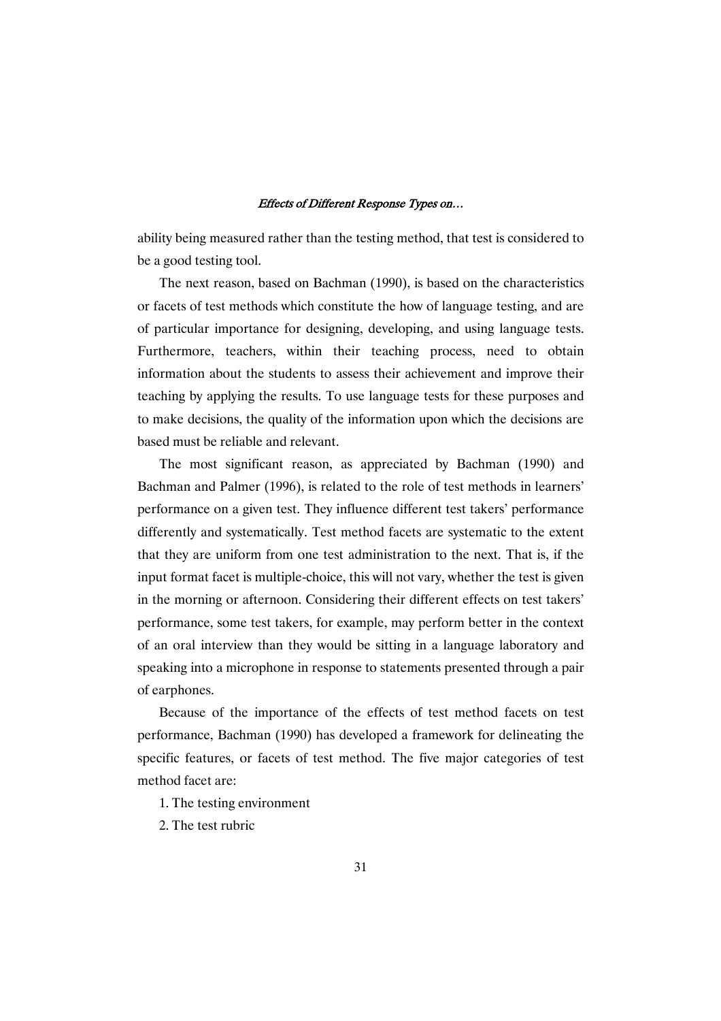ability being measured rather than the testing method, that test is considered to be a good testing tool.

The next reason, based on Bachman (1990), is based on the characteristics or facets of test methods which constitute the how of language testing, and are of particular importance for designing, developing, and using language tests. Furthermore, teachers, within their teaching process, need to obtain information about the students to assess their achievement and improve their teaching by applying the results. To use language tests for these purposes and to make decisions, the quality of the information upon which the decisions are based must be reliable and relevant.

The most significant reason, as appreciated by Bachman (1990) and Bachman and Palmer (1996), is related to the role of test methods in learners' performance on a given test. They influence different test takers' performance differently and systematically. Test method facets are systematic to the extent that they are uniform from one test administration to the next. That is, if the input format facet is multiple-choice, this will not vary, whether the test is given in the morning or afternoon. Considering their different effects on test takers' performance, some test takers, for example, may perform better in the context of an oral interview than they would be sitting in a language laboratory and speaking into a microphone in response to statements presented through a pair of earphones.

Because of the importance of the effects of test method facets on test performance, Bachman (1990) has developed a framework for delineating the specific features, or facets of test method. The five major categories of test method facet are:

- 1. The testing environment
- 2. The test rubric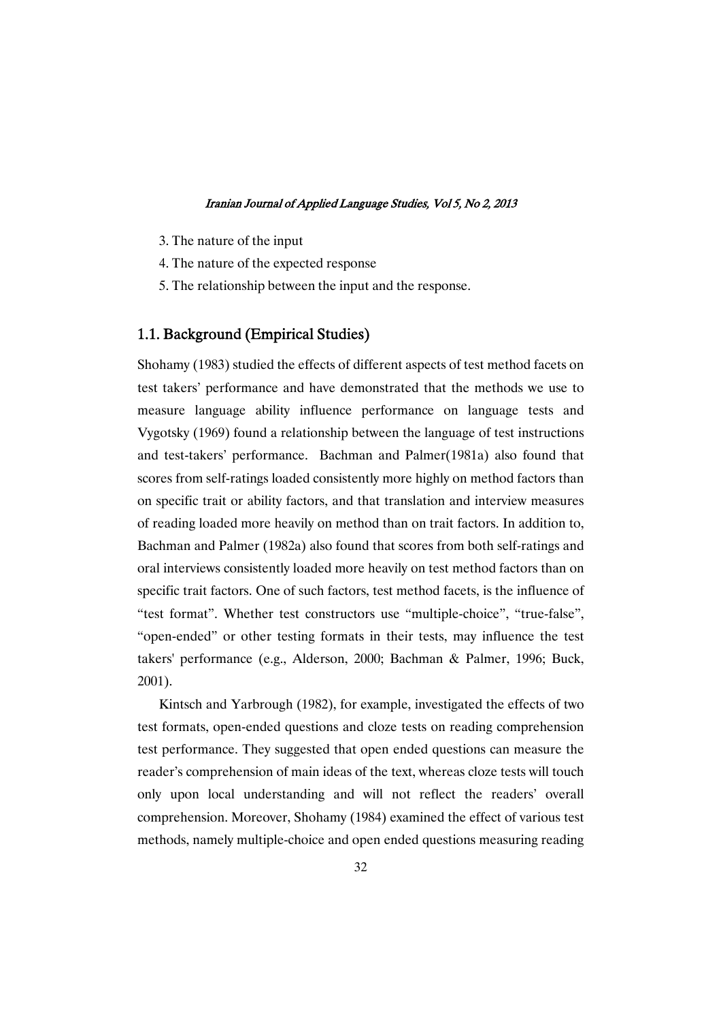- 3. The nature of the input
- 4. The nature of the expected response
- 5. The relationship between the input and the response.

### 1.1. Background (Empirical Studies)

Shohamy (1983) studied the effects of different aspects of test method facets on test takers' performance and have demonstrated that the methods we use to measure language ability influence performance on language tests and Vygotsky (1969) found a relationship between the language of test instructions and test-takers' performance. Bachman and Palmer(1981a) also found that scores from self-ratings loaded consistently more highly on method factors than on specific trait or ability factors, and that translation and interview measures of reading loaded more heavily on method than on trait factors. In addition to, Bachman and Palmer (1982a) also found that scores from both self-ratings and oral interviews consistently loaded more heavily on test method factors than on specific trait factors. One of such factors, test method facets, is the influence of "test format". Whether test constructors use "multiple-choice", "true-false", "open-ended" or other testing formats in their tests, may influence the test takers' performance (e.g., Alderson, 2000; Bachman & Palmer, 1996; Buck, 2001).

Kintsch and Yarbrough (1982), for example, investigated the effects of two test formats, open-ended questions and cloze tests on reading comprehension test performance. They suggested that open ended questions can measure the reader's comprehension of main ideas of the text, whereas cloze tests will touch only upon local understanding and will not reflect the readers' overall comprehension. Moreover, Shohamy (1984) examined the effect of various test methods, namely multiple-choice and open ended questions measuring reading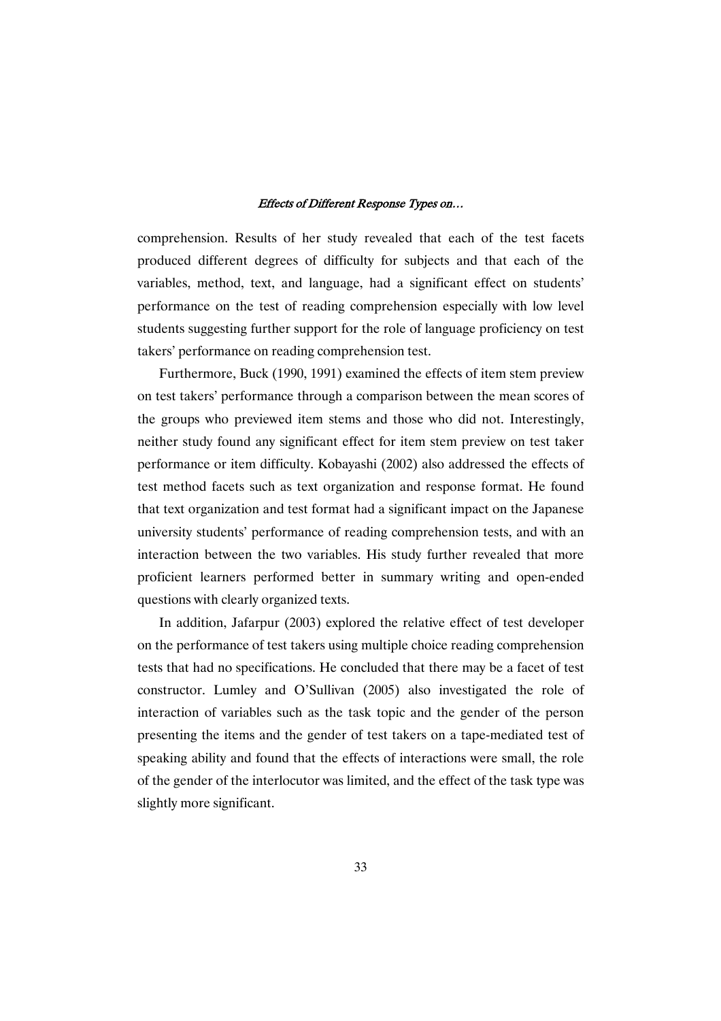comprehension. Results of her study revealed that each of the test facets produced different degrees of difficulty for subjects and that each of the variables, method, text, and language, had a significant effect on students' performance on the test of reading comprehension especially with low level students suggesting further support for the role of language proficiency on test takers' performance on reading comprehension test.

Furthermore, Buck (1990, 1991) examined the effects of item stem preview on test takers' performance through a comparison between the mean scores of the groups who previewed item stems and those who did not. Interestingly, neither study found any significant effect for item stem preview on test taker performance or item difficulty. Kobayashi (2002) also addressed the effects of test method facets such as text organization and response format. He found that text organization and test format had a significant impact on the Japanese university students' performance of reading comprehension tests, and with an interaction between the two variables. His study further revealed that more proficient learners performed better in summary writing and open-ended questions with clearly organized texts.

In addition, Jafarpur (2003) explored the relative effect of test developer on the performance of test takers using multiple choice reading comprehension tests that had no specifications. He concluded that there may be a facet of test constructor. Lumley and O'Sullivan (2005) also investigated the role of interaction of variables such as the task topic and the gender of the person presenting the items and the gender of test takers on a tape-mediated test of speaking ability and found that the effects of interactions were small, the role of the gender of the interlocutor was limited, and the effect of the task type was slightly more significant.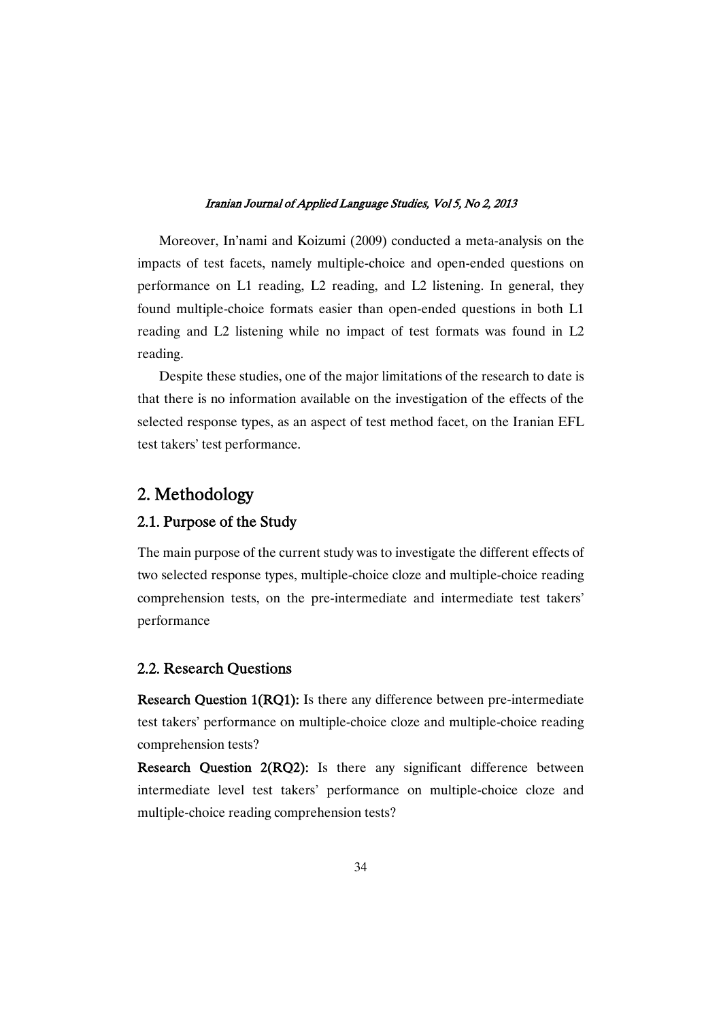Moreover, In'nami and Koizumi (2009) conducted a meta-analysis on the impacts of test facets, namely multiple-choice and open-ended questions on performance on L1 reading, L2 reading, and L2 listening. In general, they found multiple-choice formats easier than open-ended questions in both L1 reading and L2 listening while no impact of test formats was found in L2 reading.

Despite these studies, one of the major limitations of the research to date is that there is no information available on the investigation of the effects of the selected response types, as an aspect of test method facet, on the Iranian EFL test takers' test performance.

# 2. Methodology

### 2.1. Purpose of the Study

The main purpose of the current study was to investigate the different effects of two selected response types, multiple-choice cloze and multiple-choice reading comprehension tests, on the pre-intermediate and intermediate test takers' performance

### 2.2. Research Questions

Research Question 1(RQ1): Is there any difference between pre-intermediate test takers' performance on multiple-choice cloze and multiple-choice reading comprehension tests?

Research Question 2(RQ2): Is there any significant difference between intermediate level test takers' performance on multiple-choice cloze and multiple-choice reading comprehension tests?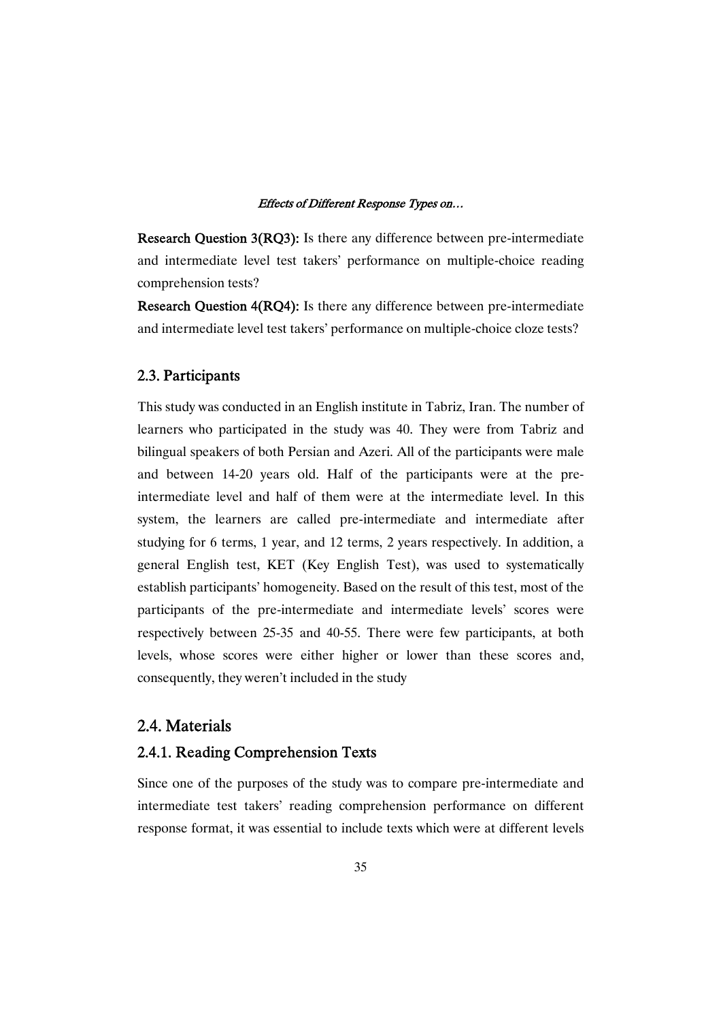Research Question 3(RQ3): Is there any difference between pre-intermediate and intermediate level test takers' performance on multiple-choice reading comprehension tests?

Research Question 4(RQ4): Is there any difference between pre-intermediate and intermediate level test takers' performance on multiple-choice cloze tests?

### 2.3.Participants

This study was conducted in an English institute in Tabriz, Iran. The number of learners who participated in the study was 40. They were from Tabriz and bilingual speakers of both Persian and Azeri. All of the participants were male and between 14-20 years old. Half of the participants were at the preintermediate level and half of them were at the intermediate level. In this system, the learners are called pre-intermediate and intermediate after studying for 6 terms, 1 year, and 12 terms, 2 years respectively. In addition, a general English test, KET (Key English Test), was used to systematically establish participants' homogeneity. Based on the result of this test, most of the participants of the pre-intermediate and intermediate levels' scores were respectively between 25-35 and 40-55. There were few participants, at both levels, whose scores were either higher or lower than these scores and, consequently, they weren't included in the study

### 2.4.Materials

### 2.4.1. Reading Comprehension Texts

Since one of the purposes of the study was to compare pre-intermediate and intermediate test takers' reading comprehension performance on different response format, it was essential to include texts which were at different levels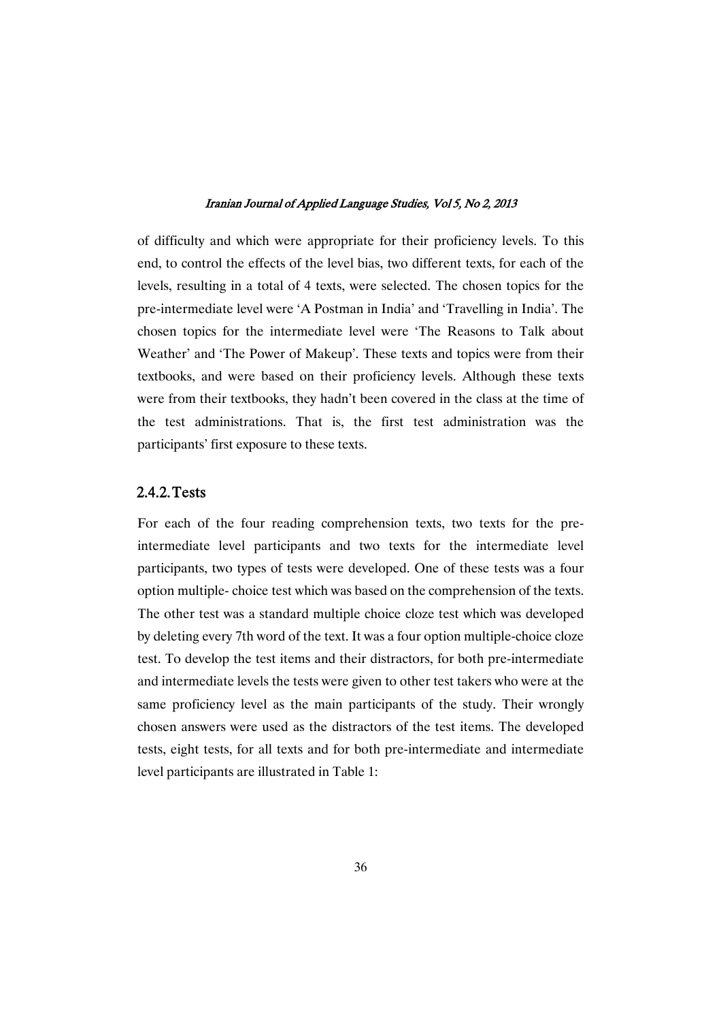of difficulty and which were appropriate for their proficiency levels. To this end, to control the effects of the level bias, two different texts, for each of the levels, resulting in a total of 4 texts, were selected. The chosen topics for the pre-intermediate level were 'A Postman in India' and 'Travelling in India'. The chosen topics for the intermediate level were 'The Reasons to Talk about Weather' and 'The Power of Makeup'. These texts and topics were from their textbooks, and were based on their proficiency levels. Although these texts were from their textbooks, they hadn't been covered in the class at the time of the test administrations. That is, the first test administration was the participants' first exposure to these texts.

### 2.4.2.Tests

For each of the four reading comprehension texts, two texts for the preintermediate level participants and two texts for the intermediate level participants, two types of tests were developed. One of these tests was a four option multiple- choice test which was based on the comprehension of the texts. The other test was a standard multiple choice cloze test which was developed by deleting every 7th word of the text. It was a four option multiple-choice cloze test. To develop the test items and their distractors, for both pre-intermediate and intermediate levels the tests were given to other test takers who were at the same proficiency level as the main participants of the study. Their wrongly chosen answers were used as the distractors of the test items. The developed tests, eight tests, for all texts and for both pre-intermediate and intermediate level participants are illustrated in Table 1: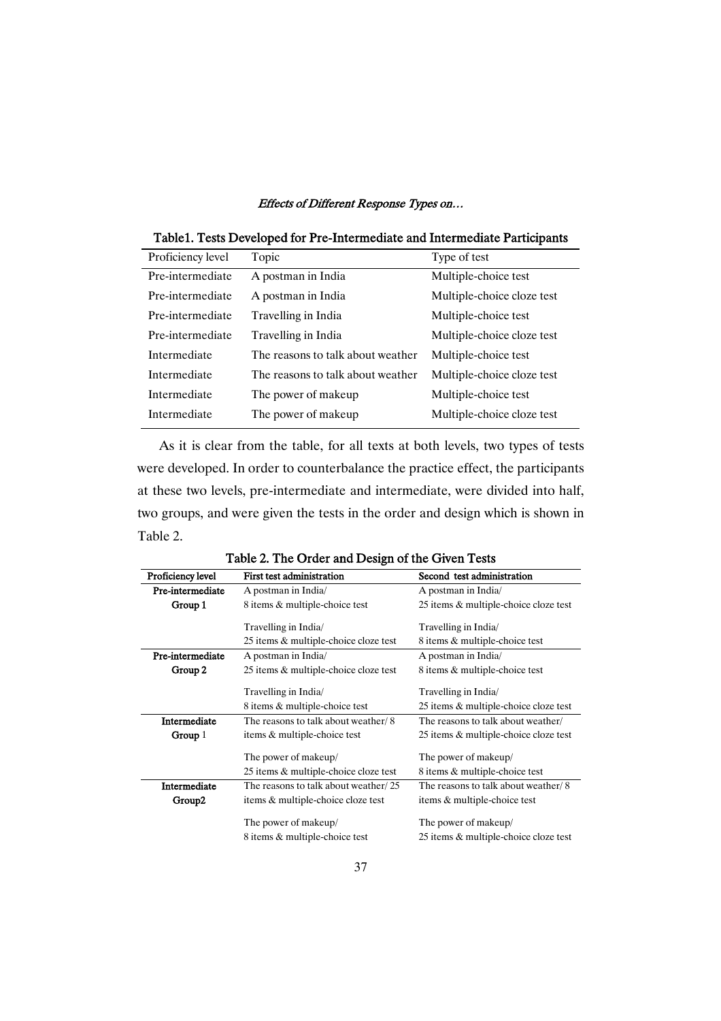| Table 1. Tests Developed for Pre-Intermediate and Intermediate Participants |  |
|-----------------------------------------------------------------------------|--|
|                                                                             |  |

| Proficiency level | Topic                             | Type of test               |
|-------------------|-----------------------------------|----------------------------|
| Pre-intermediate  | A postman in India                | Multiple-choice test       |
| Pre-intermediate  | A postman in India                | Multiple-choice cloze test |
| Pre-intermediate  | Travelling in India               | Multiple-choice test       |
| Pre-intermediate  | Travelling in India               | Multiple-choice cloze test |
| Intermediate      | The reasons to talk about weather | Multiple-choice test       |
| Intermediate      | The reasons to talk about weather | Multiple-choice cloze test |
| Intermediate      | The power of makeup               | Multiple-choice test       |
| Intermediate      | The power of makeup               | Multiple-choice cloze test |

As it is clear from the table, for all texts at both levels, two types of tests were developed. In order to counterbalance the practice effect, the participants at these two levels, pre-intermediate and intermediate, were divided into half, two groups, and were given the tests in the order and design which is shown in Table 2.

| Proficiency level  | First test administration                                     | Second test administration                                    |
|--------------------|---------------------------------------------------------------|---------------------------------------------------------------|
| Pre-intermediate   | A postman in India/                                           | A postman in India/                                           |
| Group 1            | 8 items & multiple-choice test                                | 25 items & multiple-choice cloze test                         |
|                    | Travelling in India/                                          | Travelling in India/                                          |
|                    | 25 items & multiple-choice cloze test                         | 8 items & multiple-choice test                                |
| Pre-intermediate   | A postman in India/                                           | A postman in India/                                           |
| Group 2            | 25 items & multiple-choice cloze test                         | 8 items & multiple-choice test                                |
|                    | Travelling in India/                                          | Travelling in India/                                          |
|                    | 8 items & multiple-choice test                                | 25 items & multiple-choice cloze test                         |
| Intermediate       | The reasons to talk about weather/8                           | The reasons to talk about weather/                            |
| Group $1$          | items & multiple-choice test                                  | 25 items & multiple-choice cloze test                         |
|                    | The power of makeup/<br>25 items & multiple-choice cloze test | The power of makeup/<br>8 items & multiple-choice test        |
| Intermediate       | The reasons to talk about weather/25                          | The reasons to talk about weather/8                           |
| Group <sub>2</sub> | items & multiple-choice cloze test                            | items & multiple-choice test                                  |
|                    | The power of makeup/<br>8 items & multiple-choice test        | The power of makeup/<br>25 items & multiple-choice cloze test |

Table 2. The Order and Design of the Given Tests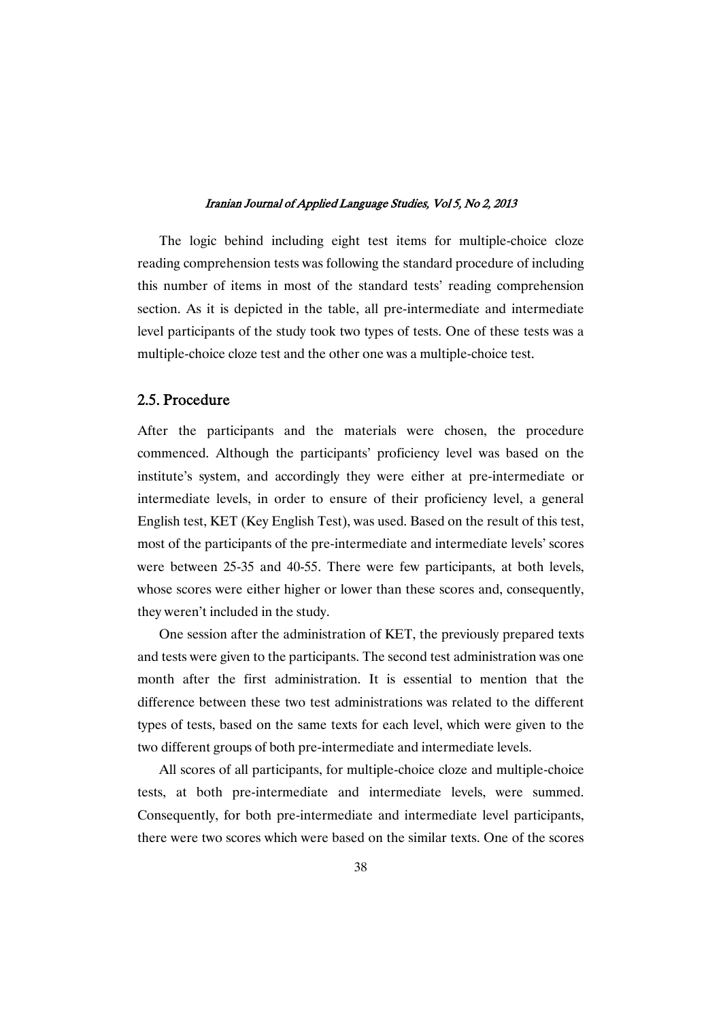The logic behind including eight test items for multiple-choice cloze reading comprehension tests was following the standard procedure of including this number of items in most of the standard tests' reading comprehension section. As it is depicted in the table, all pre-intermediate and intermediate level participants of the study took two types of tests. One of these tests was a multiple-choice cloze test and the other one was a multiple-choice test.

## 2.5. Procedure

After the participants and the materials were chosen, the procedure commenced. Although the participants' proficiency level was based on the institute's system, and accordingly they were either at pre-intermediate or intermediate levels, in order to ensure of their proficiency level, a general English test, KET (Key English Test), was used. Based on the result of this test, most of the participants of the pre-intermediate and intermediate levels' scores were between 25-35 and 40-55. There were few participants, at both levels, whose scores were either higher or lower than these scores and, consequently, they weren't included in the study.

One session after the administration of KET, the previously prepared texts and tests were given to the participants. The second test administration was one month after the first administration. It is essential to mention that the difference between these two test administrations was related to the different types of tests, based on the same texts for each level, which were given to the two different groups of both pre-intermediate and intermediate levels.

All scores of all participants, for multiple-choice cloze and multiple-choice tests, at both pre-intermediate and intermediate levels, were summed. Consequently, for both pre-intermediate and intermediate level participants, there were two scores which were based on the similar texts. One of the scores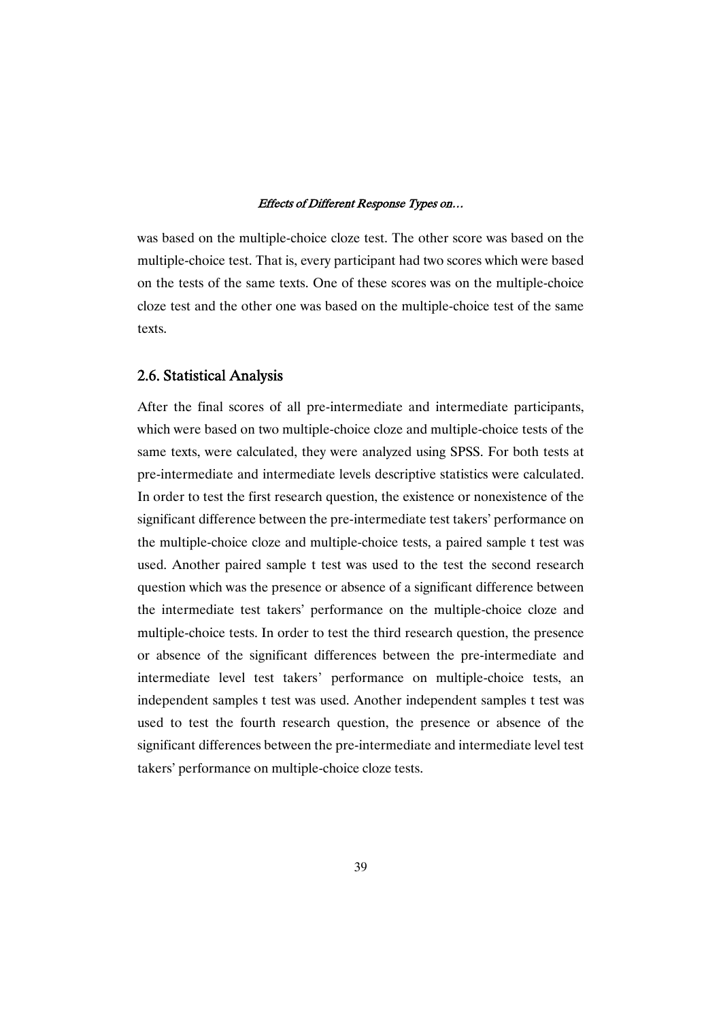was based on the multiple-choice cloze test. The other score was based on the multiple-choice test. That is, every participant had two scores which were based on the tests of the same texts. One of these scores was on the multiple-choice cloze test and the other one was based on the multiple-choice test of the same texts.

### 2.6. Statistical Analysis

After the final scores of all pre-intermediate and intermediate participants, which were based on two multiple-choice cloze and multiple-choice tests of the same texts, were calculated, they were analyzed using SPSS. For both tests at pre-intermediate and intermediate levels descriptive statistics were calculated. In order to test the first research question, the existence or nonexistence of the significant difference between the pre-intermediate test takers' performance on the multiple-choice cloze and multiple-choice tests, a paired sample t test was used. Another paired sample t test was used to the test the second research question which was the presence or absence of a significant difference between the intermediate test takers' performance on the multiple-choice cloze and multiple-choice tests. In order to test the third research question, the presence or absence of the significant differences between the pre-intermediate and intermediate level test takers' performance on multiple-choice tests, an independent samples t test was used. Another independent samples t test was used to test the fourth research question, the presence or absence of the significant differences between the pre-intermediate and intermediate level test takers' performance on multiple-choice cloze tests.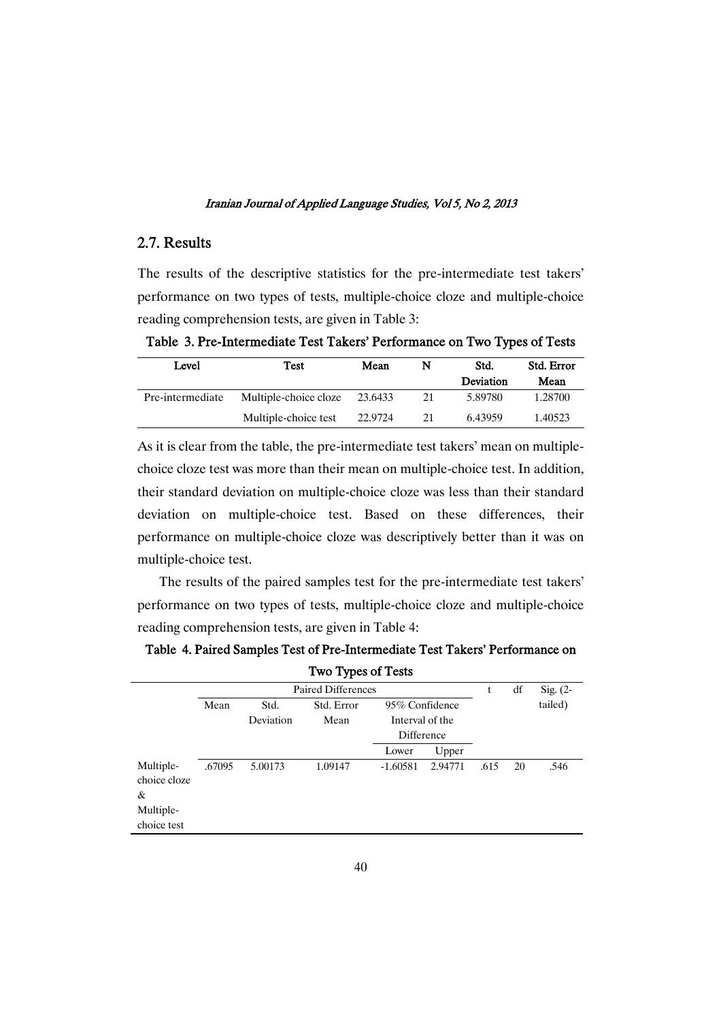### 2.7.Results

The results of the descriptive statistics for the pre-intermediate test takers' performance on two types of tests, multiple-choice cloze and multiple-choice reading comprehension tests, are given in Table 3:

Table 3. Pre-Intermediate Test Takers' Performance on Two Types of Tests

| Level            | Test                  | Mean    | N  | Std.<br>Deviation | Std. Error<br>Mean |
|------------------|-----------------------|---------|----|-------------------|--------------------|
| Pre-intermediate | Multiple-choice cloze | 23.6433 | 21 | 5.89780           | 1.28700            |
|                  | Multiple-choice test  | 22.9724 | 21 | 6.43959           | 1.40523            |

As it is clear from the table, the pre-intermediate test takers' mean on multiplechoice cloze test was more than their mean on multiple-choice test. In addition, their standard deviation on multiple-choice cloze was less than their standard deviation on multiple-choice test. Based on these differences, their performance on multiple-choice cloze was descriptively better than it was on multiple-choice test.

The results of the paired samples test for the pre-intermediate test takers' performance on two types of tests, multiple-choice cloze and multiple-choice reading comprehension tests, are given in Table 4:

|                                                            | Two Types of Tests |                   |                           |                                                 |         |      |    |            |  |  |  |  |
|------------------------------------------------------------|--------------------|-------------------|---------------------------|-------------------------------------------------|---------|------|----|------------|--|--|--|--|
|                                                            |                    |                   | <b>Paired Differences</b> |                                                 |         | t    | df | Sig. $(2-$ |  |  |  |  |
|                                                            | Mean               | Std.<br>Deviation | Std. Error<br>Mean        | 95% Confidence<br>Interval of the<br>Difference |         |      |    | tailed)    |  |  |  |  |
|                                                            |                    |                   |                           | Lower                                           | Upper   |      |    |            |  |  |  |  |
| Multiple-<br>choice cloze<br>&<br>Multiple-<br>choice test | .67095             | 5.00173           | 1.09147                   | $-1.60581$                                      | 2.94771 | .615 | 20 | .546       |  |  |  |  |

Table 4. Paired Samples Test of Pre-Intermediate Test Takers' Performance on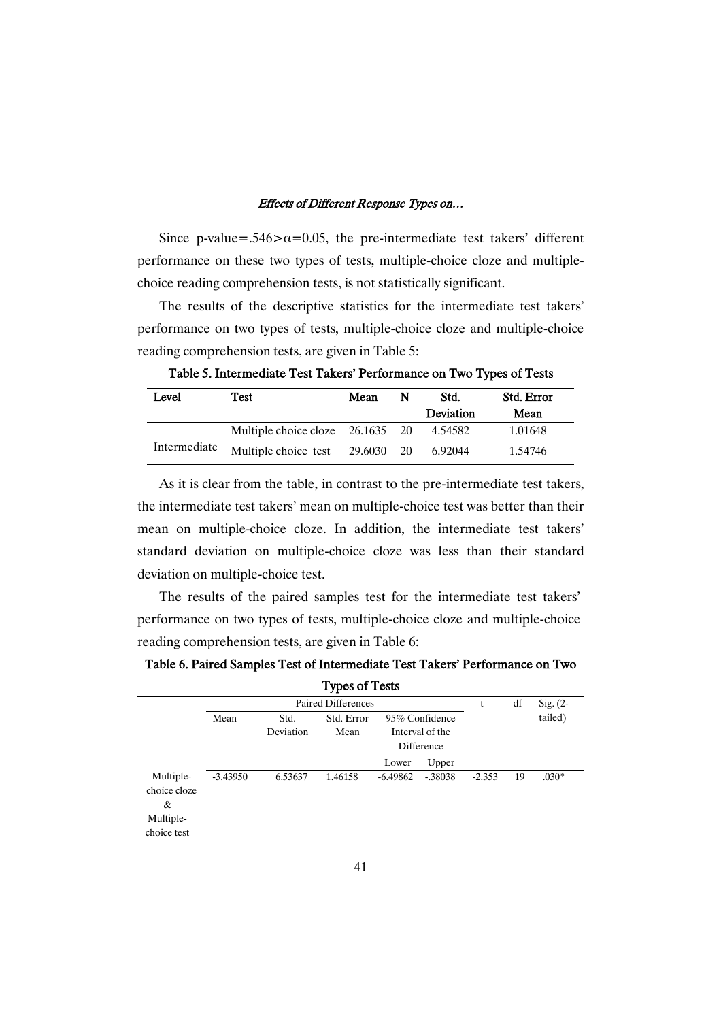Since p-value=.546> $\alpha$ =0.05, the pre-intermediate test takers' different performance on these two types of tests, multiple-choice cloze and multiplechoice reading comprehension tests, is not statistically significant.

The results of the descriptive statistics for the intermediate test takers' performance on two types of tests, multiple-choice cloze and multiple-choice reading comprehension tests, are given in Table 5:

| Level        | Test                               | Mean | N  | Std.      | Std. Error |
|--------------|------------------------------------|------|----|-----------|------------|
|              |                                    |      |    | Deviation | Mean       |
|              | Multiple choice cloze $26.1635$ 20 |      |    | 4.54582   | 1.01648    |
| Intermediate | Multiple choice test 29.6030       |      | 20 | 6.92044   | 1.54746    |

Table 5. Intermediate Test Takers' Performance on Two Types of Tests

As it is clear from the table, in contrast to the pre-intermediate test takers, the intermediate test takers' mean on multiple-choice test was better than their mean on multiple-choice cloze. In addition, the intermediate test takers' standard deviation on multiple-choice cloze was less than their standard deviation on multiple-choice test.

The results of the paired samples test for the intermediate test takers' performance on two types of tests, multiple-choice cloze and multiple-choice reading comprehension tests, are given in Table 6:

Table 6. Paired Samples Test of Intermediate Test Takers' Performance on Two

|            |                   |                    |                                                 |                                             | t        | df | Sig. $(2-$ |
|------------|-------------------|--------------------|-------------------------------------------------|---------------------------------------------|----------|----|------------|
| Mean       | Std.<br>Deviation | Std. Error<br>Mean | 95% Confidence<br>Interval of the<br>Difference |                                             |          |    | tailed)    |
|            |                   |                    | Lower                                           | Upper                                       |          |    |            |
| $-3.43950$ | 6.53637           | 1.46158            | $-6.49862$                                      | $-.38038$                                   | $-2.353$ | 19 | $.030*$    |
|            |                   |                    |                                                 | <b>Types of Tests</b><br>Paired Differences |          |    |            |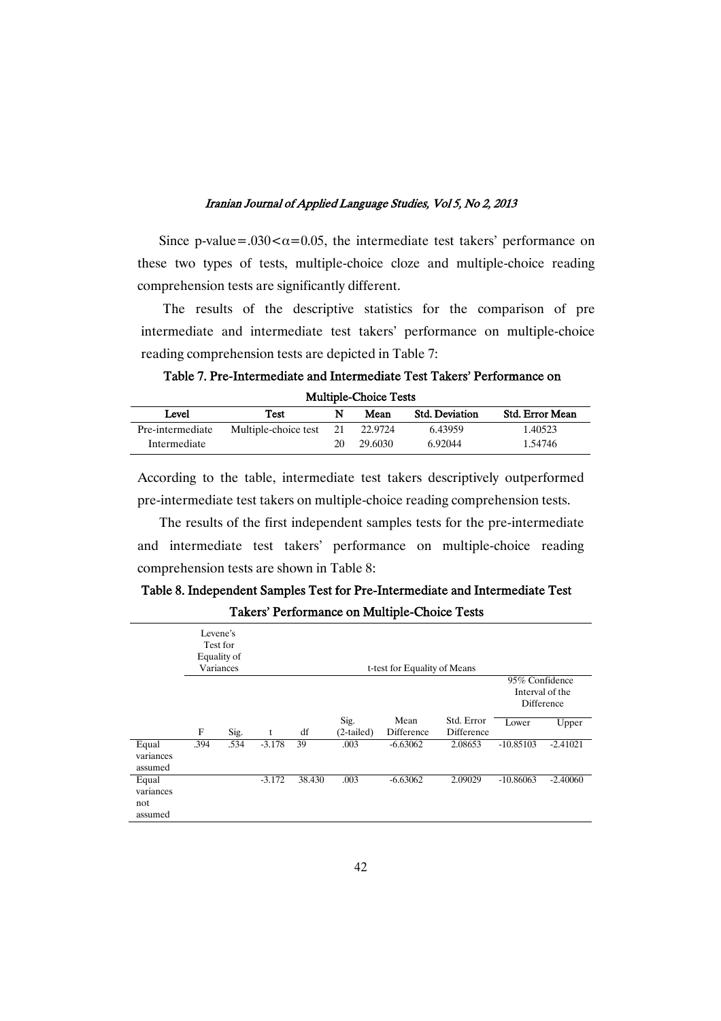Since p-value=.030 $\alpha$ =0.05, the intermediate test takers' performance on these two types of tests, multiple-choice cloze and multiple-choice reading comprehension tests are significantly different.

The results of the descriptive statistics for the comparison of pre intermediate and intermediate test takers' performance on multiple-choice reading comprehension tests are depicted in Table 7:

Table 7. Pre-Intermediate and Intermediate Test Takers' Performance on Multiple-Choice Tests

| Level            | Test                 | N  | Mean    | <b>Std. Deviation</b> | <b>Std. Error Mean</b> |
|------------------|----------------------|----|---------|-----------------------|------------------------|
| Pre-intermediate | Multiple-choice test | 21 | 22.9724 | 6.43959               | 1.40523                |
| Intermediate     |                      | 20 | 29.6030 | 6.92044               | 1.54746                |

According to the table, intermediate test takers descriptively outperformed pre-intermediate test takers on multiple-choice reading comprehension tests.

The results of the first independent samples tests for the pre-intermediate and intermediate test takers' performance on multiple-choice reading comprehension tests are shown in Table 8:

| Table 8. Independent Samples Test for Pre-Intermediate and Intermediate Test |  |
|------------------------------------------------------------------------------|--|
| Takers' Performance on Multiple-Choice Tests                                 |  |

|                                      | Levene's | Test for<br>Equality of<br>Variances |          |        |                    |                    |                          |                              |                 |
|--------------------------------------|----------|--------------------------------------|----------|--------|--------------------|--------------------|--------------------------|------------------------------|-----------------|
|                                      |          |                                      |          |        |                    |                    |                          | 95% Confidence<br>Difference | Interval of the |
|                                      | F        | Sig.                                 | t        | df     | Sig.<br>(2-tailed) | Mean<br>Difference | Std. Error<br>Difference | Lower                        | Upper           |
| Equal<br>variances<br>assumed        | .394     | .534                                 | $-3.178$ | 39     | .003               | $-6.63062$         | 2.08653                  | $-10.85103$                  | $-2.41021$      |
| Equal<br>variances<br>not<br>assumed |          |                                      | $-3.172$ | 38.430 | .003               | $-6.63062$         | 2.09029                  | $-10.86063$                  | $-2.40060$      |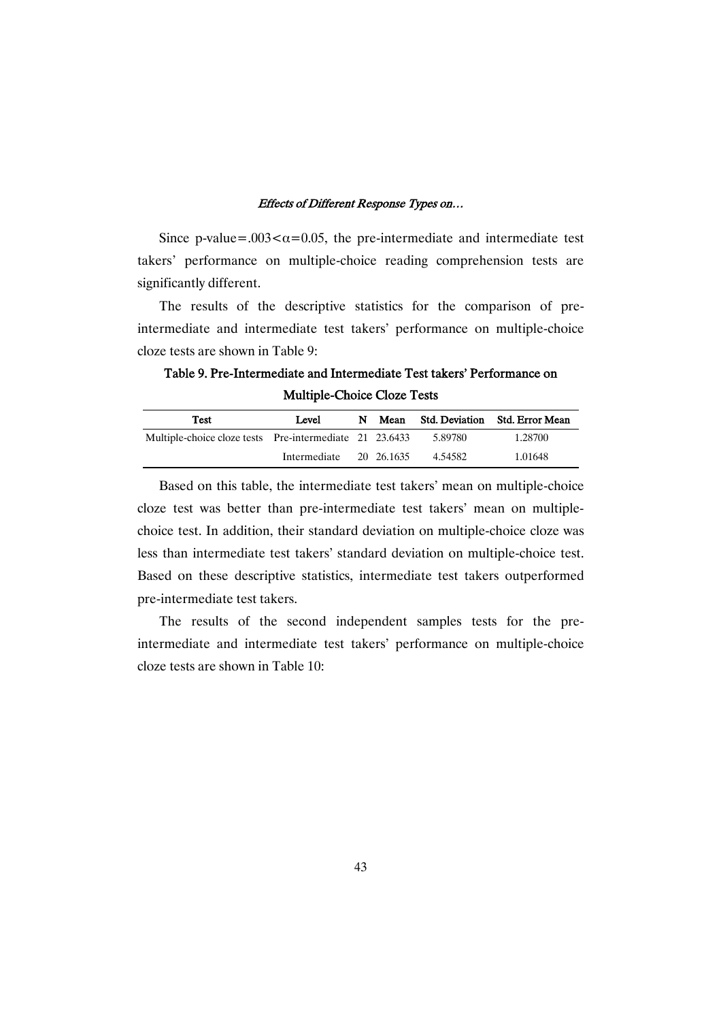Since p-value=.003 $<\alpha=0.05$ , the pre-intermediate and intermediate test takers' performance on multiple-choice reading comprehension tests are significantly different.

The results of the descriptive statistics for the comparison of preintermediate and intermediate test takers' performance on multiple-choice cloze tests are shown in Table 9:

Table 9. Pre-Intermediate and Intermediate Test takers' Performance on Multiple-Choice Cloze Tests

| Test                                                    | Level        |  | Mean       |         | Std. Deviation Std. Error Mean |
|---------------------------------------------------------|--------------|--|------------|---------|--------------------------------|
| Multiple-choice cloze tests Pre-intermediate 21 23.6433 |              |  |            | 5.89780 | 1.28700                        |
|                                                         | Intermediate |  | 20 26.1635 | 4.54582 | 1.01648                        |

Based on this table, the intermediate test takers' mean on multiple-choice cloze test was better than pre-intermediate test takers' mean on multiplechoice test. In addition, their standard deviation on multiple-choice cloze was less than intermediate test takers' standard deviation on multiple-choice test. Based on these descriptive statistics, intermediate test takers outperformed pre-intermediate test takers.

The results of the second independent samples tests for the preintermediate and intermediate test takers' performance on multiple-choice cloze tests are shown in Table 10: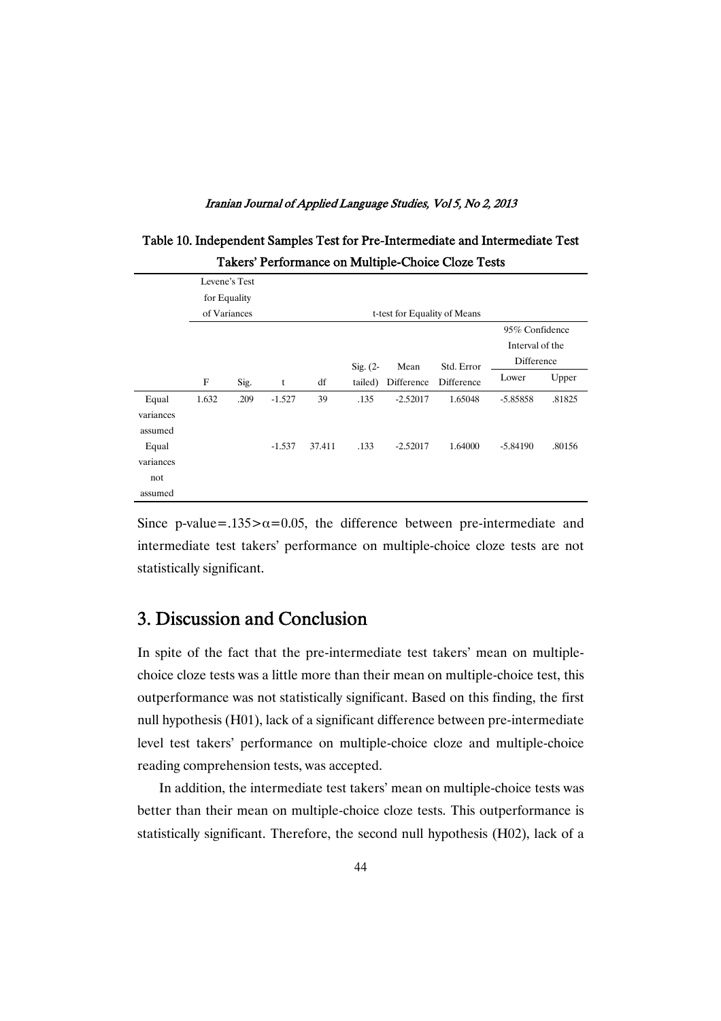|                                      |                                                                               |      |          |        |            |            | Takers Ferrormance on Muniple-Choice Cloze Tests |                                                 |        |
|--------------------------------------|-------------------------------------------------------------------------------|------|----------|--------|------------|------------|--------------------------------------------------|-------------------------------------------------|--------|
|                                      | Levene's Test<br>for Equality<br>of Variances<br>t-test for Equality of Means |      |          |        |            |            |                                                  |                                                 |        |
|                                      |                                                                               |      |          |        | $Sig. (2-$ | Mean       | Std. Error                                       | 95% Confidence<br>Interval of the<br>Difference |        |
|                                      | F                                                                             | Sig. | t        | df     | tailed)    | Difference | Difference                                       | Lower                                           | Upper  |
| Equal<br>variances<br>assumed        | 1.632                                                                         | .209 | $-1.527$ | 39     | .135       | $-2.52017$ | 1.65048                                          | -5.85858                                        | .81825 |
| Equal<br>variances<br>not<br>assumed |                                                                               |      | $-1.537$ | 37.411 | .133       | $-2.52017$ | 1.64000                                          | $-5.84190$                                      | .80156 |

Table 10. Independent Samples Test for Pre-Intermediate and Intermediate Test Takers' Performance on Multiple-Choice Cloze Tests

Since p-value=.135 $>\alpha$ =0.05, the difference between pre-intermediate and intermediate test takers' performance on multiple-choice cloze tests are not statistically significant.

# 3. Discussion and Conclusion

In spite of the fact that the pre-intermediate test takers' mean on multiplechoice cloze tests was a little more than their mean on multiple-choice test, this outperformance was not statistically significant. Based on this finding, the first null hypothesis (H01), lack of a significant difference between pre-intermediate level test takers' performance on multiple-choice cloze and multiple-choice reading comprehension tests, was accepted.

In addition, the intermediate test takers' mean on multiple-choice tests was better than their mean on multiple-choice cloze tests. This outperformance is statistically significant. Therefore, the second null hypothesis (H02), lack of a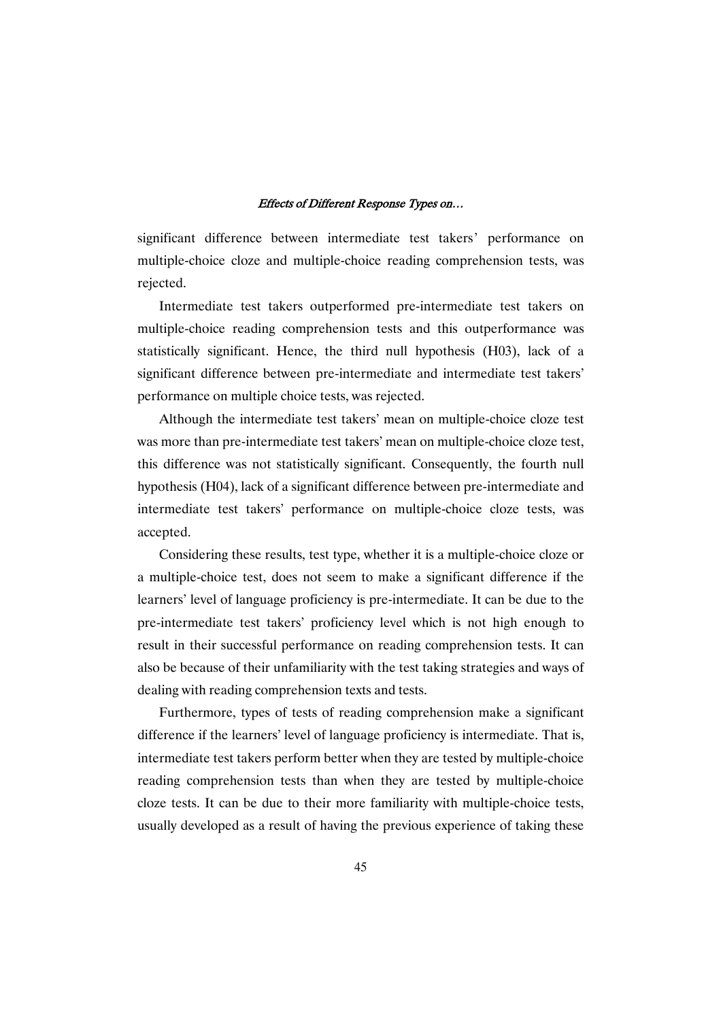significant difference between intermediate test takers' performance on multiple-choice cloze and multiple-choice reading comprehension tests, was rejected.

Intermediate test takers outperformed pre-intermediate test takers on multiple-choice reading comprehension tests and this outperformance was statistically significant. Hence, the third null hypothesis (H03), lack of a significant difference between pre-intermediate and intermediate test takers' performance on multiple choice tests, was rejected.

Although the intermediate test takers' mean on multiple-choice cloze test was more than pre-intermediate test takers' mean on multiple-choice cloze test, this difference was not statistically significant. Consequently, the fourth null hypothesis (H04), lack of a significant difference between pre-intermediate and intermediate test takers' performance on multiple-choice cloze tests, was accepted.

Considering these results, test type, whether it is a multiple-choice cloze or a multiple-choice test, does not seem to make a significant difference if the learners' level of language proficiency is pre-intermediate. It can be due to the pre-intermediate test takers' proficiency level which is not high enough to result in their successful performance on reading comprehension tests. It can also be because of their unfamiliarity with the test taking strategies and ways of dealing with reading comprehension texts and tests.

Furthermore, types of tests of reading comprehension make a significant difference if the learners' level of language proficiency is intermediate. That is, intermediate test takers perform better when they are tested by multiple-choice reading comprehension tests than when they are tested by multiple-choice cloze tests. It can be due to their more familiarity with multiple-choice tests, usually developed as a result of having the previous experience of taking these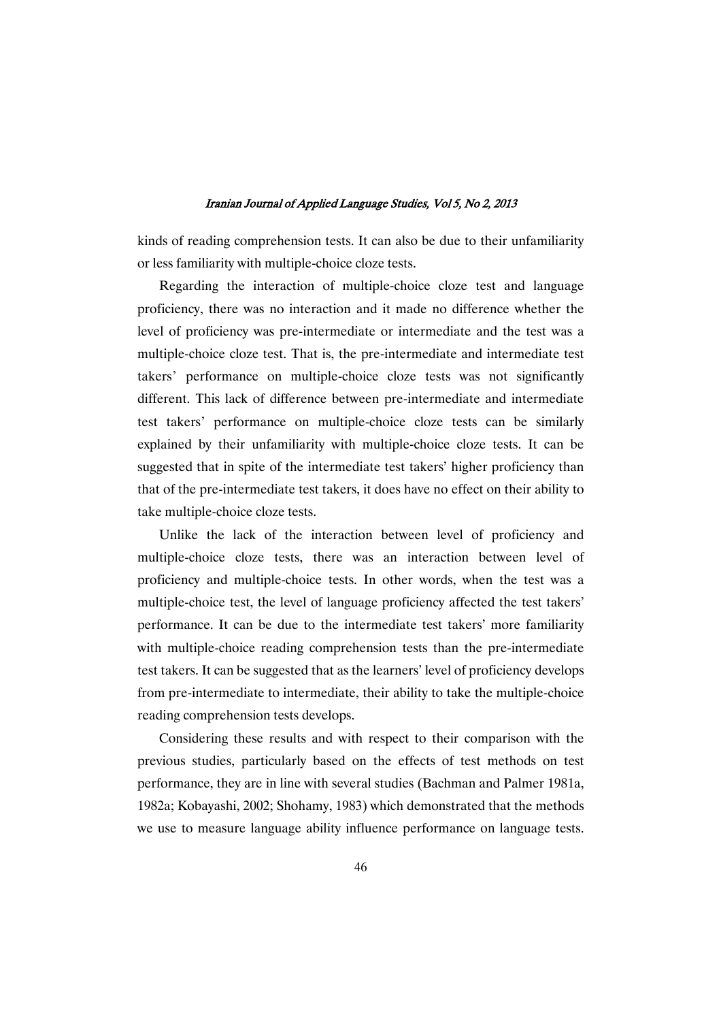kinds of reading comprehension tests. It can also be due to their unfamiliarity or less familiarity with multiple-choice cloze tests.

Regarding the interaction of multiple-choice cloze test and language proficiency, there was no interaction and it made no difference whether the level of proficiency was pre-intermediate or intermediate and the test was a multiple-choice cloze test. That is, the pre-intermediate and intermediate test takers' performance on multiple-choice cloze tests was not significantly different. This lack of difference between pre-intermediate and intermediate test takers' performance on multiple-choice cloze tests can be similarly explained by their unfamiliarity with multiple-choice cloze tests. It can be suggested that in spite of the intermediate test takers' higher proficiency than that of the pre-intermediate test takers, it does have no effect on their ability to take multiple-choice cloze tests.

Unlike the lack of the interaction between level of proficiency and multiple-choice cloze tests, there was an interaction between level of proficiency and multiple-choice tests. In other words, when the test was a multiple-choice test, the level of language proficiency affected the test takers' performance. It can be due to the intermediate test takers' more familiarity with multiple-choice reading comprehension tests than the pre-intermediate test takers. It can be suggested that as the learners' level of proficiency develops from pre-intermediate to intermediate, their ability to take the multiple-choice reading comprehension tests develops.

Considering these results and with respect to their comparison with the previous studies, particularly based on the effects of test methods on test performance, they are in line with several studies (Bachman and Palmer 1981a, 1982a; Kobayashi, 2002; Shohamy, 1983) which demonstrated that the methods we use to measure language ability influence performance on language tests.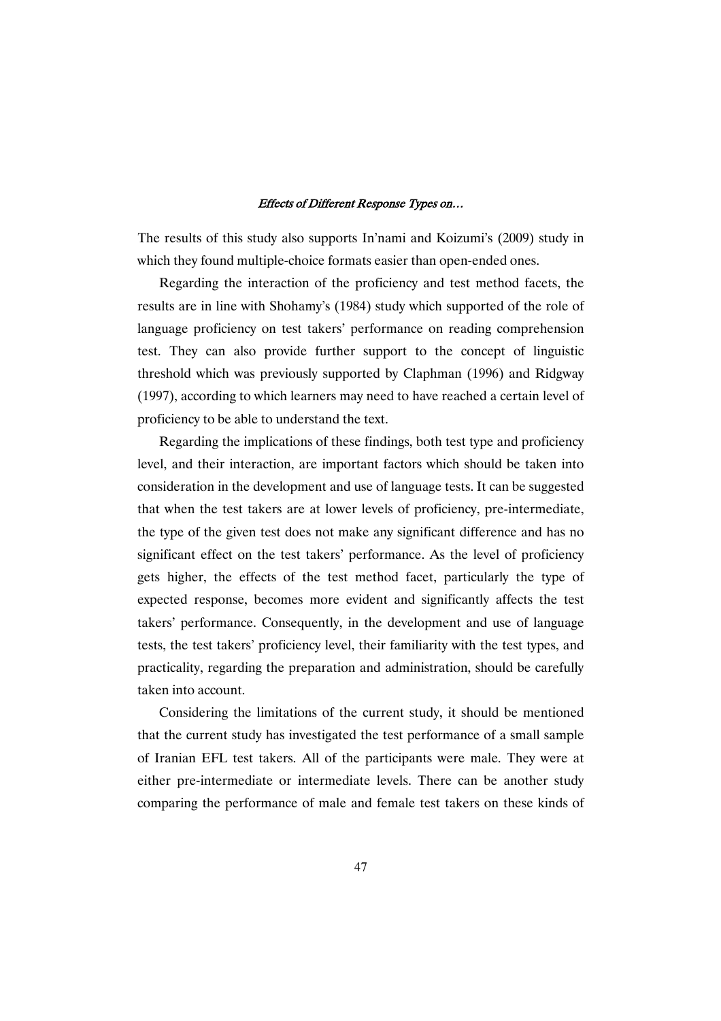The results of this study also supports In'nami and Koizumi's (2009) study in which they found multiple-choice formats easier than open-ended ones.

Regarding the interaction of the proficiency and test method facets, the results are in line with Shohamy's (1984) study which supported of the role of language proficiency on test takers' performance on reading comprehension test. They can also provide further support to the concept of linguistic threshold which was previously supported by Claphman (1996) and Ridgway (1997), according to which learners may need to have reached a certain level of proficiency to be able to understand the text.

Regarding the implications of these findings, both test type and proficiency level, and their interaction, are important factors which should be taken into consideration in the development and use of language tests. It can be suggested that when the test takers are at lower levels of proficiency, pre-intermediate, the type of the given test does not make any significant difference and has no significant effect on the test takers' performance. As the level of proficiency gets higher, the effects of the test method facet, particularly the type of expected response, becomes more evident and significantly affects the test takers' performance. Consequently, in the development and use of language tests, the test takers' proficiency level, their familiarity with the test types, and practicality, regarding the preparation and administration, should be carefully taken into account.

Considering the limitations of the current study, it should be mentioned that the current study has investigated the test performance of a small sample of Iranian EFL test takers. All of the participants were male. They were at either pre-intermediate or intermediate levels. There can be another study comparing the performance of male and female test takers on these kinds of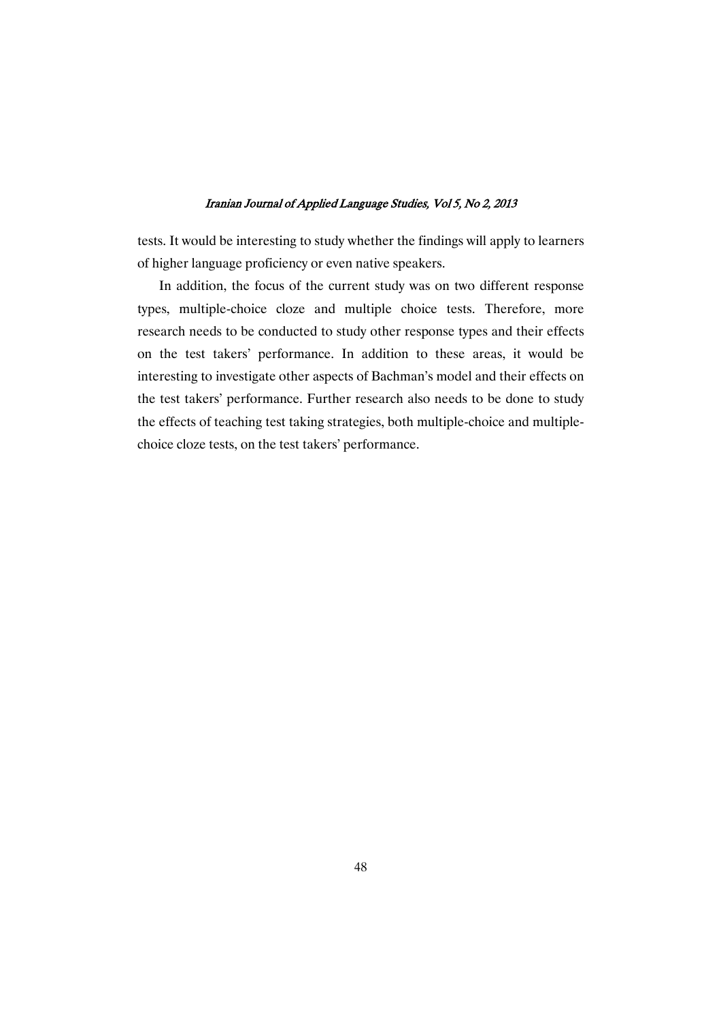tests. It would be interesting to study whether the findings will apply to learners of higher language proficiency or even native speakers.

In addition, the focus of the current study was on two different response types, multiple-choice cloze and multiple choice tests. Therefore, more research needs to be conducted to study other response types and their effects on the test takers' performance. In addition to these areas, it would be interesting to investigate other aspects of Bachman's model and their effects on the test takers' performance. Further research also needs to be done to study the effects of teaching test taking strategies, both multiple-choice and multiplechoice cloze tests, on the test takers' performance.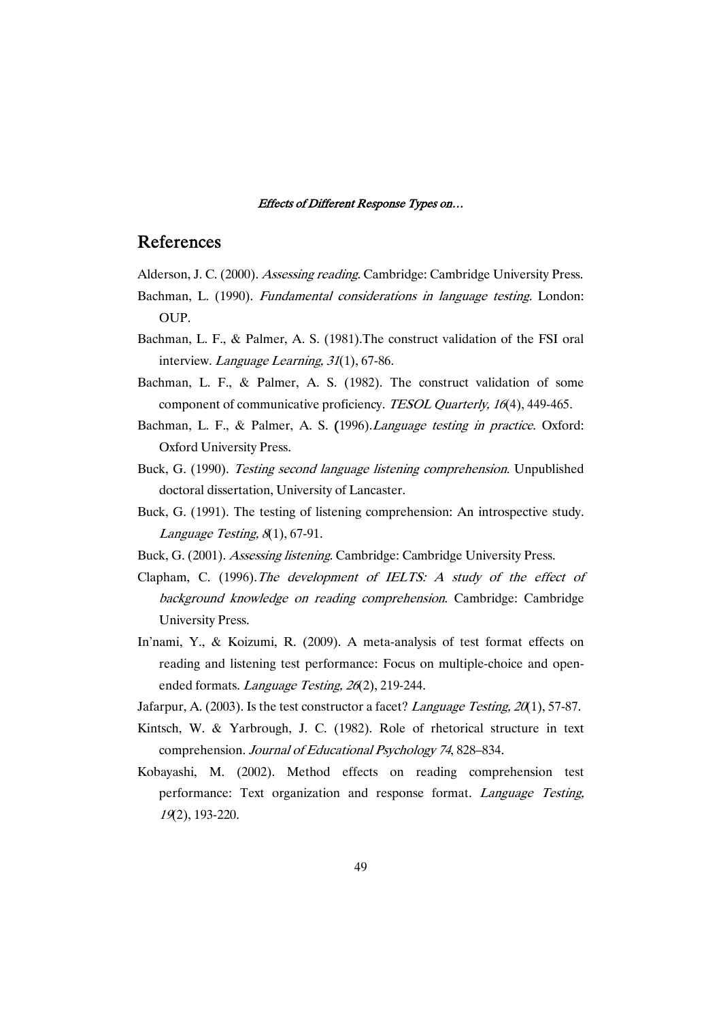### References

- Alderson, J. C. (2000). Assessing reading. Cambridge: Cambridge University Press.
- Bachman, L. (1990). *Fundamental considerations in language testing*. London: OUP.
- Bachman, L. F., & Palmer, A. S. (1981).The construct validation of the FSI oral interview. Language Learning, <sup>31</sup>(1), 67-86.
- Bachman, L. F., & Palmer, A. S. (1982). The construct validation of some component of communicative proficiency. TESOL Quarterly, <sup>16</sup>(4), 449-465.
- Bachman, L. F., & Palmer, A. S. (1996). *Language testing in practice*. Oxford: Oxford University Press.
- Buck, G. (1990). Testing second language listening comprehension. Unpublished doctoral dissertation, University of Lancaster.
- Buck, G. (1991). The testing of listening comprehension: An introspective study. Language Testing, <sup>8</sup>(1), 67-91.
- Buck, G. (2001). Assessing listening. Cambridge: Cambridge University Press.
- Clapham, C. (1996).The development of IELTS: <sup>A</sup> study of the effect of background knowledge on reading comprehension. Cambridge: Cambridge University Press.
- In'nami, Y., & Koizumi, R. (2009). A meta-analysis of test format effects on reading and listening test performance: Focus on multiple-choice and openended formats. Language Testing, <sup>26</sup>(2), 219-244.
- Jafarpur, A. (2003). Is the test constructor a facet? *Language Testing, 20*(1), 57-87.
- Kintsch, W. & Yarbrough, J. C. (1982). Role of rhetorical structure in text comprehension. Journal of Educational Psychology <sup>74</sup>, 828–834.
- Kobayashi, M. (2002). Method effects on reading comprehension test performance: Text organization and response format. Language Testing, <sup>19</sup>(2), 193-220.